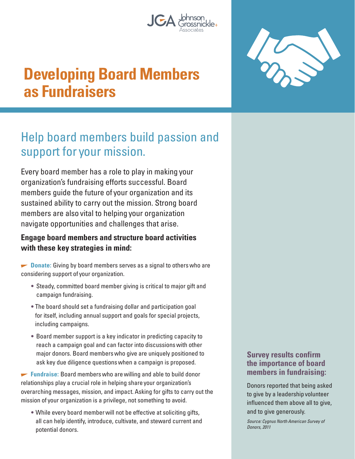





## Help board members build passion and support for your mission.

Every board member has a role to play in making your organization's fundraising efforts successful. Board members guide the future of your organization and its sustained ability to carry out the mission. Strong board members are also vital to helping your organization navigate opportunities and challenges that arise.

## **Engage board members and structure board activities with these key strategies in mind:**

**Donate:** Giving by board members serves as a signal to others who are considering support of your organization.

- Steady, committed board member giving is critical to major gift and campaign fundraising.
- The board should set a fundraising dollar and participation goal for itself, including annual support and goals for special projects, including campaigns.
- Board member support is a key indicator in predicting capacity to reach a campaign goal and can factor into discussions with other major donors. Board members who give are uniquely positioned to ask key due diligence questions when a campaign is proposed.

**Fundraise:** Board members who are willing and able to build donor relationships play a crucial role in helping share your organization's overarching messages, mission, and impact. Asking for gifts to carry out the mission of your organization is a privilege, not something to avoid.

• While every board member will not be effective at soliciting gifts, all can help identify, introduce, cultivate, and steward current and potential donors.

## **Survey results confirm the importance of board members in fundraising:**

Donors reported that being asked to give by a leadership volunteer influenced them above all to give, and to give generously.

Source: Cygnus North American Survey of Donors, 2011